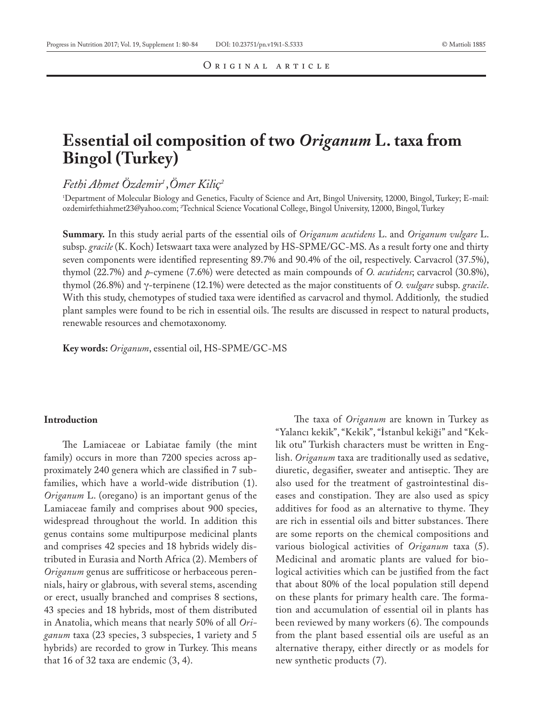# **Essential oil composition of two** *Origanum* **L. taxa from Bingol (Turkey)**

*Fethi Ahmet Özdemir1 ,Ömer Kiliç<sup>2</sup>*

1 Department of Molecular Biology and Genetics, Faculty of Science and Art, Bingol University, 12000, Bingol, Turkey; E-mail: ozdemirfethiahmet23@yahoo.com; 2 Technical Science Vocational College, Bingol University, 12000, Bingol, Turkey

**Summary.** In this study aerial parts of the essential oils of *Origanum acutidens* L. and *Origanum vulgare* L. subsp. *gracile* (K. Koch) Ietswaart taxa were analyzed by HS-SPME/GC-MS. As a result forty one and thirty seven components were identified representing 89.7% and 90.4% of the oil, respectively. Carvacrol (37.5%), thymol (22.7%) and *p*-cymene (7.6%) were detected as main compounds of *O. acutidens*; carvacrol (30.8%), thymol (26.8%) and γ-terpinene (12.1%) were detected as the major constituents of *O. vulgare* subsp. *gracile*. With this study, chemotypes of studied taxa were identified as carvacrol and thymol. Additionly, the studied plant samples were found to be rich in essential oils. The results are discussed in respect to natural products, renewable resources and chemotaxonomy.

**Key words:** *Origanum*, essential oil, HS-SPME/GC-MS

#### **Introduction**

The Lamiaceae or Labiatae family (the mint family) occurs in more than 7200 species across approximately 240 genera which are classified in 7 subfamilies, which have a world-wide distribution (1). *Origanum* L. (oregano) is an important genus of the Lamiaceae family and comprises about 900 species, widespread throughout the world. In addition this genus contains some multipurpose medicinal plants and comprises 42 species and 18 hybrids widely distributed in Eurasia and North Africa (2). Members of *Origanum* genus are suffriticose or herbaceous perennials, hairy or glabrous, with several stems, ascending or erect, usually branched and comprises 8 sections, 43 species and 18 hybrids, most of them distributed in Anatolia, which means that nearly 50% of all *Origanum* taxa (23 species, 3 subspecies, 1 variety and 5 hybrids) are recorded to grow in Turkey. This means that 16 of 32 taxa are endemic (3, 4).

The taxa of *Origanum* are known in Turkey as "Yalancı kekik", "Kekik", "İstanbul kekiği" and "Keklik otu" Turkish characters must be written in English. *Origanum* taxa are traditionally used as sedative, diuretic, degasifier, sweater and antiseptic. They are also used for the treatment of gastrointestinal diseases and constipation. They are also used as spicy additives for food as an alternative to thyme. They are rich in essential oils and bitter substances. There are some reports on the chemical compositions and various biological activities of *Origanum* taxa (5). Medicinal and aromatic plants are valued for biological activities which can be justified from the fact that about 80% of the local population still depend on these plants for primary health care. The formation and accumulation of essential oil in plants has been reviewed by many workers (6). The compounds from the plant based essential oils are useful as an alternative therapy, either directly or as models for new synthetic products (7).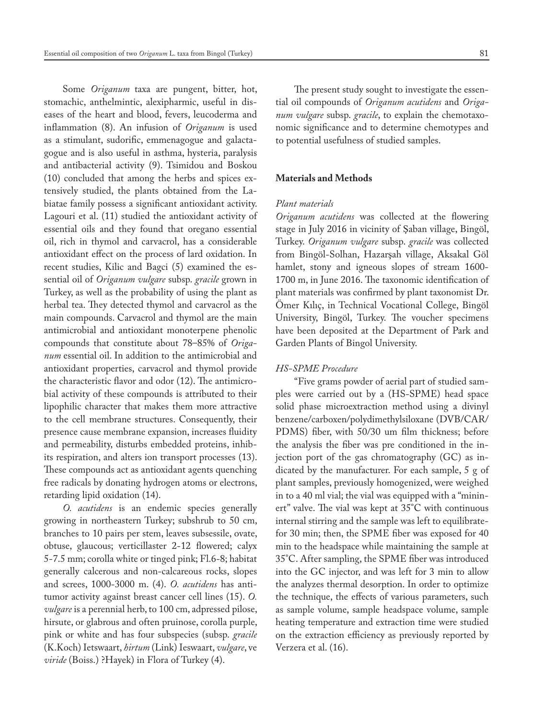Some *Origanum* taxa are pungent, bitter, hot, stomachic, anthelmintic, alexipharmic, useful in diseases of the heart and blood, fevers, leucoderma and inflammation (8). An infusion of *Origanum* is used as a stimulant, sudorific, emmenagogue and galactagogue and is also useful in asthma, hysteria, paralysis and antibacterial activity (9). Tsimidou and Boskou (10) concluded that among the herbs and spices extensively studied, the plants obtained from the Labiatae family possess a significant antioxidant activity. Lagouri et al. (11) studied the antioxidant activity of essential oils and they found that oregano essential oil, rich in thymol and carvacrol, has a considerable antioxidant effect on the process of lard oxidation. In recent studies, Kilic and Bagci (5) examined the essential oil of *Origanum vulgare* subsp. *gracile* grown in Turkey, as well as the probability of using the plant as herbal tea. They detected thymol and carvacrol as the main compounds. Carvacrol and thymol are the main antimicrobial and antioxidant monoterpene phenolic compounds that constitute about 78–85% of *Origanum* essential oil. In addition to the antimicrobial and antioxidant properties, carvacrol and thymol provide the characteristic flavor and odor (12). The antimicrobial activity of these compounds is attributed to their lipophilic character that makes them more attractive to the cell membrane structures. Consequently, their presence cause membrane expansion, increases fluidity and permeability, disturbs embedded proteins, inhibits respiration, and alters ion transport processes (13). These compounds act as antioxidant agents quenching free radicals by donating hydrogen atoms or electrons, retarding lipid oxidation (14).

*O. acutidens* is an endemic species generally growing in northeastern Turkey; subshrub to 50 cm, branches to 10 pairs per stem, leaves subsessile, ovate, obtuse, glaucous; verticillaster 2-12 flowered; calyx 5-7.5 mm; corolla white or tinged pink; Fl.6-8; habitat generally calcerous and non-calcareous rocks, slopes and screes, 1000-3000 m. (4). *O. acutidens* has antitumor activity against breast cancer cell lines (15). *O. vulgare* is a perennial herb, to 100 cm, adpressed pilose, hirsute, or glabrous and often pruinose, corolla purple, pink or white and has four subspecies (subsp. *gracile*  (K.Koch) Ietswaart, *hirtum* (Link) Ieswaart, *vulgare*, ve *viride* (Boiss.) ?Hayek) in Flora of Turkey (4).

The present study sought to investigate the essential oil compounds of *Origanum acutidens* and *Origanum vulgare* subsp. *gracile*, to explain the chemotaxonomic significance and to determine chemotypes and to potential usefulness of studied samples.

# **Materials and Methods**

#### *Plant materials*

*Origanum acutidens* was collected at the flowering stage in July 2016 in vicinity of Şaban village, Bingöl, Turkey. *Origanum vulgare* subsp. *gracile* was collected from Bingöl-Solhan, Hazarşah village, Aksakal Göl hamlet, stony and igneous slopes of stream 1600- 1700 m, in June 2016. The taxonomic identification of plant materials was confirmed by plant taxonomist Dr. Ömer Kılıç, in Technical Vocational College, Bingöl University, Bingöl, Turkey. The voucher specimens have been deposited at the Department of Park and Garden Plants of Bingol University.

#### *HS-SPME Procedure*

"Five grams powder of aerial part of studied samples were carried out by a (HS-SPME) head space solid phase microextraction method using a divinyl benzene/carboxen/polydimethylsiloxane (DVB/CAR/ PDMS) fiber, with 50/30 um film thickness; before the analysis the fiber was pre conditioned in the injection port of the gas chromatography (GC) as indicated by the manufacturer. For each sample, 5 g of plant samples, previously homogenized, were weighed in to a 40 ml vial; the vial was equipped with a "mininert'' valve. The vial was kept at 35°C with continuous internal stirring and the sample was left to equilibratefor 30 min; then, the SPME fiber was exposed for 40 min to the headspace while maintaining the sample at 35°C. After sampling, the SPME fiber was introduced into the GC injector, and was left for 3 min to allow the analyzes thermal desorption. In order to optimize the technique, the effects of various parameters, such as sample volume, sample headspace volume, sample heating temperature and extraction time were studied on the extraction efficiency as previously reported by Verzera et al. (16).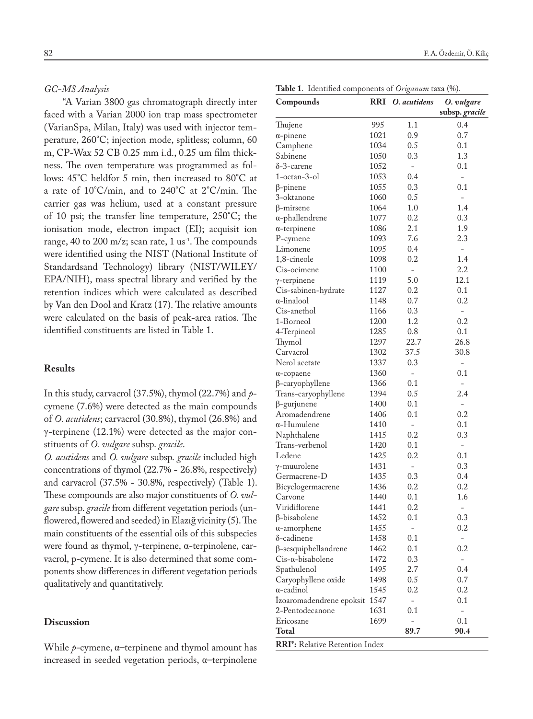# *GC-MS Analysis*

"A Varian 3800 gas chromatograph directly inter faced with a Varian 2000 ion trap mass spectrometer (VarianSpa, Milan, Italy) was used with injector temperature, 260°C; injection mode, splitless; column, 60 m, CP-Wax 52 CB 0.25 mm i.d., 0.25 um film thickness. The oven temperature was programmed as follows: 45°C heldfor 5 min, then increased to 80°C at a rate of 10°C/min, and to 240°C at 2°C/min. The carrier gas was helium, used at a constant pressure of 10 psi; the transfer line temperature, 250°C; the ionisation mode, electron impact (EI); acquisit ion range, 40 to 200 m/z; scan rate, 1 us<sup>-1</sup>. The compounds were identified using the NIST (National Institute of Standardsand Technology) library (NIST/WILEY/ EPA/NIH), mass spectral library and verified by the retention indices which were calculated as described by Van den Dool and Kratz (17). The relative amounts were calculated on the basis of peak-area ratios. The identified constituents are listed in Table 1.

# **Results**

In this study, carvacrol (37.5%), thymol (22.7%) and *p*cymene (7.6%) were detected as the main compounds of *O. acutidens*; carvacrol (30.8%), thymol (26.8%) and γ-terpinene (12.1%) were detected as the major constituents of *O. vulgare* subsp. *gracile*.

*O. acutidens* and *O. vulgare* subsp. *gracile* included high concentrations of thymol (22.7% - 26.8%, respectively) and carvacrol (37.5% - 30.8%, respectively) (Table 1). These compounds are also major constituents of *O. vulgare* subsp. *gracile* from different vegetation periods (unflowered, flowered and seeded) in Elazığ vicinity (5). The main constituents of the essential oils of this subspecies were found as thymol, γ-terpinene, α-terpinolene, carvacrol, p-cymene. It is also determined that some components show differences in different vegetation periods qualitatively and quantitatively.

## **Discussion**

While *p-*cymene, α–terpinene and thymol amount has increased in seeded vegetation periods, α–terpinolene

**Table 1**. Identified components of *Origanum* taxa (%).

| <b>Table 1.</b> Retiring components of Organism taxa (70). |      |                          |                          |
|------------------------------------------------------------|------|--------------------------|--------------------------|
| Compounds                                                  |      | RRI O. acutidens         | O. vulgare               |
|                                                            |      |                          | subsp. gracile           |
| Thujene                                                    | 995  | 1.1                      | 0.4                      |
| $\alpha$ -pinene                                           | 1021 | 0.9                      | 0.7                      |
| Camphene                                                   | 1034 | 0.5                      | 0.1                      |
| Sabinene                                                   | 1050 | 0.3                      | 1.3                      |
| $\delta$ -3-carene                                         | 1052 | $\overline{\phantom{0}}$ | 0.1                      |
| 1-octan-3-ol                                               | 1053 | 0.4                      | $\qquad \qquad -$        |
| $\beta$ -pinene                                            | 1055 | 0.3                      | 0.1                      |
| 3-oktanone                                                 | 1060 | 0.5                      | $\overline{\phantom{0}}$ |
| $\beta$ -mirsene                                           | 1064 | 1.0                      | 1.4                      |
| $\alpha$ -phallendrene                                     | 1077 | $0.2\,$                  | 0.3                      |
| $\alpha$ -terpinene                                        | 1086 | 2.1                      | 1.9                      |
| P-cymene                                                   | 1093 | 7.6                      | 2.3                      |
| Limonene                                                   | 1095 | 0.4                      | $\overline{\phantom{a}}$ |
| 1,8-cineole                                                | 1098 | 0.2                      | 1.4                      |
| Cis-ocimene                                                | 1100 | $\overline{\phantom{0}}$ | 2.2                      |
| $\gamma$ -terpinene                                        | 1119 | 5.0                      | 12.1                     |
| Cis-sabinen-hydrate                                        | 1127 | 0.2                      | 0.1                      |
| α-linalool                                                 | 1148 | 0.7                      | 0.2                      |
| Cis-anethol                                                | 1166 | 0.3                      | $\overline{\phantom{0}}$ |
| 1-Borneol                                                  | 1200 | 1.2                      | 0.2                      |
| 4-Terpineol                                                | 1285 | 0.8                      | 0.1                      |
| Thymol                                                     | 1297 | 22.7                     | 26.8                     |
| Carvacrol                                                  | 1302 | 37.5                     | 30.8                     |
| Nerol acetate                                              | 1337 | 0.3                      | -                        |
| $\alpha$ -copaene                                          | 1360 | $\overline{\phantom{0}}$ | 0.1                      |
| β-caryophyllene                                            | 1366 | 0.1                      | $\qquad \qquad -$        |
| Trans-caryophyllene                                        | 1394 | 0.5                      | 2.4                      |
| $\beta$ -gurjunene                                         | 1400 | 0.1                      | $\qquad \qquad -$        |
| Aromadendrene                                              | 1406 | $0.1\,$                  | 0.2                      |
| α-Humulene                                                 | 1410 | $\overline{\phantom{0}}$ | 0.1                      |
| Naphthalene                                                | 1415 | $0.2\,$                  | 0.3                      |
| Trans-verbenol                                             | 1420 | 0.1                      | $\overline{\phantom{a}}$ |
| Ledene                                                     | 1425 | $0.2\,$                  | 0.1                      |
| $\gamma$ -muurolene                                        | 1431 | $\overline{\phantom{0}}$ | 0.3                      |
| Germacrene-D                                               | 1435 | 0.3                      | 0.4                      |
| Bicyclogermacrene                                          | 1436 | $0.2\,$                  | 0.2                      |
| Carvone                                                    | 1440 | 0.1                      | 1.6                      |
| Viridiflorene                                              | 1441 | 0.2                      |                          |
| β-bisabolene                                               | 1452 | 0.1                      | 0.3                      |
| $\alpha$ -amorphene                                        | 1455 | $\overline{\phantom{0}}$ | 0.2                      |
| δ-cadinene                                                 | 1458 | $0.1\,$                  | $\overline{\phantom{0}}$ |
| $\beta$ -sesquiphellandrene                                | 1462 | 0.1                      | 0.2                      |
| $Cis-a-bisabolene$                                         | 1472 | 0.3                      | $\overline{\phantom{0}}$ |
| Spathulenol                                                | 1495 | 2.7                      | 0.4                      |
| Caryophyllene oxide                                        | 1498 | 0.5                      | 0.7                      |
| $\alpha$ -cadinol                                          | 1545 | $0.2\,$                  | 0.2                      |
| Izoaromadendrene epoksit                                   | 1547 |                          | 0.1                      |
| 2-Pentodecanone                                            | 1631 | $0.1\,$                  |                          |
| Ericosane                                                  | 1699 |                          | 0.1                      |
| Total                                                      |      | 89.7                     | 90.4                     |
| <b>RRI*:</b> Relative Retention Index                      |      |                          |                          |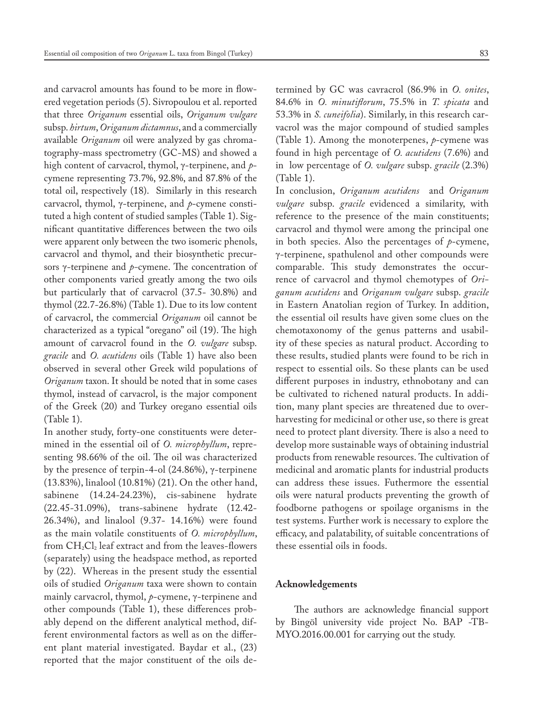and carvacrol amounts has found to be more in flowered vegetation periods (5). Sivropoulou et al. reported that three *Origanum* essential oils, *Origanum vulgare* subsp. *hirtum*, *Origanum dictamnus*, and a commercially available *Origanum* oil were analyzed by gas chromatography-mass spectrometry (GC-MS) and showed a high content of carvacrol, thymol, γ-terpinene, and *p*cymene representing 73.7%, 92.8%, and 87.8% of the total oil, respectively (18). Similarly in this research carvacrol, thymol, γ-terpinene, and *p*-cymene constituted a high content of studied samples (Table 1). Significant quantitative differences between the two oils were apparent only between the two isomeric phenols, carvacrol and thymol, and their biosynthetic precursors γ-terpinene and *p-*cymene. The concentration of other components varied greatly among the two oils but particularly that of carvacrol (37.5- 30.8%) and thymol (22.7-26.8%) (Table 1). Due to its low content of carvacrol, the commercial *Origanum* oil cannot be characterized as a typical "oregano" oil (19). The high amount of carvacrol found in the *O. vulgare* subsp. *gracile* and *O. acutidens* oils (Table 1) have also been observed in several other Greek wild populations of *Origanum* taxon. It should be noted that in some cases thymol, instead of carvacrol, is the major component of the Greek (20) and Turkey oregano essential oils (Table 1).

In another study, forty-one constituents were determined in the essential oil of *O. microphyllum*, representing 98.66% of the oil. The oil was characterized by the presence of terpin-4-ol (24.86%), γ-terpinene (13.83%), linalool (10.81%) (21). On the other hand, sabinene (14.24-24.23%), cis-sabinene hydrate (22.45-31.09%), trans-sabinene hydrate (12.42- 26.34%), and linalool (9.37- 14.16%) were found as the main volatile constituents of *O. microphyllum*, from  $CH_2Cl_2$  leaf extract and from the leaves-flowers (separately) using the headspace method, as reported by (22). Whereas in the present study the essential oils of studied *Origanum* taxa were shown to contain mainly carvacrol, thymol, *p*-cymene, γ-terpinene and other compounds (Table 1), these differences probably depend on the different analytical method, different environmental factors as well as on the different plant material investigated. Baydar et al., (23) reported that the major constituent of the oils determined by GC was cavracrol (86.9% in *O. onites*, 84.6% in *O. minutiflorum*, 75.5% in *T. spicata* and 53.3% in *S. cuneifolia*). Similarly, in this research carvacrol was the major compound of studied samples (Table 1). Among the monoterpenes, *p*-cymene was found in high percentage of *O. acutidens* (7.6%) and in low percentage of *O. vulgare* subsp. *gracile* (2.3%) (Table 1).

In conclusion, *Origanum acutidens* and *Origanum vulgare* subsp. *gracile* evidenced a similarity, with reference to the presence of the main constituents; carvacrol and thymol were among the principal one in both species. Also the percentages of *p*-cymene, γ-terpinene, spathulenol and other compounds were comparable. This study demonstrates the occurrence of carvacrol and thymol chemotypes of *Origanum acutidens* and *Origanum vulgare* subsp. *gracile*  in Eastern Anatolian region of Turkey. In addition, the essential oil results have given some clues on the chemotaxonomy of the genus patterns and usability of these species as natural product. According to these results, studied plants were found to be rich in respect to essential oils. So these plants can be used different purposes in industry, ethnobotany and can be cultivated to richened natural products. In addition, many plant species are threatened due to overharvesting for medicinal or other use, so there is great need to protect plant diversity. There is also a need to develop more sustainable ways of obtaining industrial products from renewable resources. The cultivation of medicinal and aromatic plants for industrial products can address these issues. Futhermore the essential oils were natural products preventing the growth of foodborne pathogens or spoilage organisms in the test systems. Further work is necessary to explore the efficacy, and palatability, of suitable concentrations of these essential oils in foods.

# **Acknowledgements**

The authors are acknowledge financial support by Bingöl university vide project No. BAP -TB-MYO.2016.00.001 for carrying out the study.